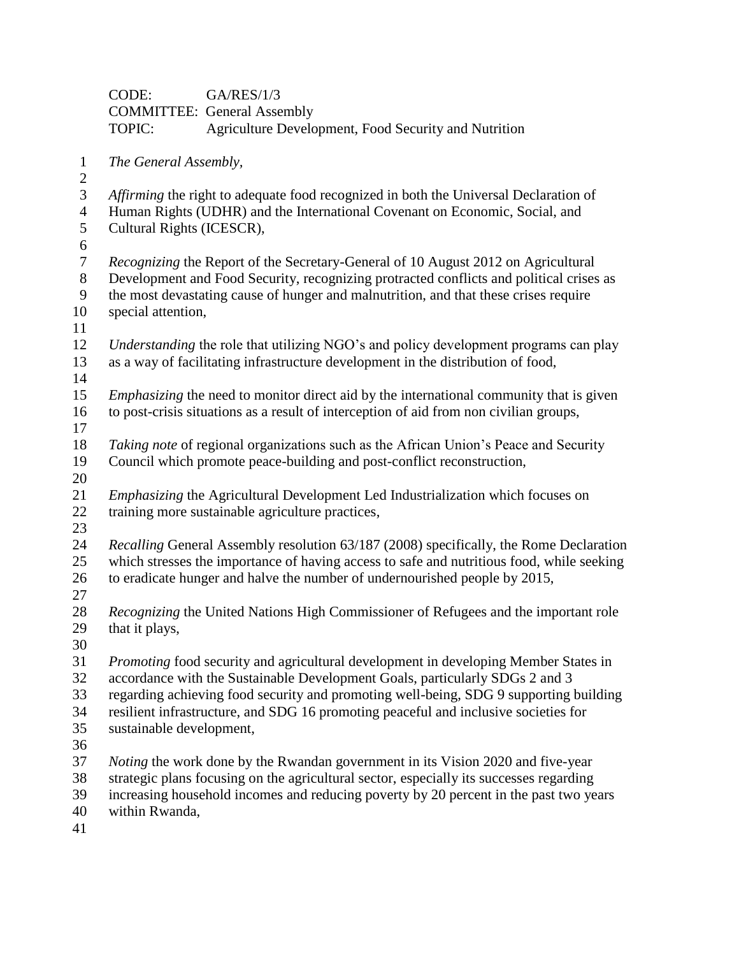|                | CODE:                                                                                                                                                                               | <b>GA/RES/1/3</b>                                                                              |  |  |  |
|----------------|-------------------------------------------------------------------------------------------------------------------------------------------------------------------------------------|------------------------------------------------------------------------------------------------|--|--|--|
|                |                                                                                                                                                                                     | <b>COMMITTEE: General Assembly</b>                                                             |  |  |  |
|                | TOPIC:                                                                                                                                                                              | Agriculture Development, Food Security and Nutrition                                           |  |  |  |
| $\mathbf{1}$   | The General Assembly,                                                                                                                                                               |                                                                                                |  |  |  |
| $\mathfrak{2}$ |                                                                                                                                                                                     |                                                                                                |  |  |  |
| $\mathfrak{Z}$ | Affirming the right to adequate food recognized in both the Universal Declaration of                                                                                                |                                                                                                |  |  |  |
| $\overline{4}$ | Human Rights (UDHR) and the International Covenant on Economic, Social, and                                                                                                         |                                                                                                |  |  |  |
| $\mathfrak{S}$ | Cultural Rights (ICESCR),                                                                                                                                                           |                                                                                                |  |  |  |
| 6              |                                                                                                                                                                                     |                                                                                                |  |  |  |
| $\tau$         | <i>Recognizing</i> the Report of the Secretary-General of 10 August 2012 on Agricultural<br>Development and Food Security, recognizing protracted conflicts and political crises as |                                                                                                |  |  |  |
| 8<br>9         |                                                                                                                                                                                     |                                                                                                |  |  |  |
| 10             | the most devastating cause of hunger and malnutrition, and that these crises require                                                                                                |                                                                                                |  |  |  |
| 11             | special attention,                                                                                                                                                                  |                                                                                                |  |  |  |
| 12             |                                                                                                                                                                                     | Understanding the role that utilizing NGO's and policy development programs can play           |  |  |  |
| 13             |                                                                                                                                                                                     | as a way of facilitating infrastructure development in the distribution of food,               |  |  |  |
| 14             |                                                                                                                                                                                     |                                                                                                |  |  |  |
| 15             |                                                                                                                                                                                     | <i>Emphasizing</i> the need to monitor direct aid by the international community that is given |  |  |  |
| 16             |                                                                                                                                                                                     | to post-crisis situations as a result of interception of aid from non civilian groups,         |  |  |  |
| 17             |                                                                                                                                                                                     |                                                                                                |  |  |  |
| 18             |                                                                                                                                                                                     | Taking note of regional organizations such as the African Union's Peace and Security           |  |  |  |
| 19             |                                                                                                                                                                                     | Council which promote peace-building and post-conflict reconstruction,                         |  |  |  |
| 20             |                                                                                                                                                                                     |                                                                                                |  |  |  |
| 21             |                                                                                                                                                                                     | <i>Emphasizing</i> the Agricultural Development Led Industrialization which focuses on         |  |  |  |
| 22             |                                                                                                                                                                                     | training more sustainable agriculture practices,                                               |  |  |  |
| 23             |                                                                                                                                                                                     |                                                                                                |  |  |  |
| 24             |                                                                                                                                                                                     | Recalling General Assembly resolution 63/187 (2008) specifically, the Rome Declaration         |  |  |  |
| 25             |                                                                                                                                                                                     | which stresses the importance of having access to safe and nutritious food, while seeking      |  |  |  |
| 26             |                                                                                                                                                                                     | to eradicate hunger and halve the number of undernourished people by 2015,                     |  |  |  |
| 27             |                                                                                                                                                                                     |                                                                                                |  |  |  |
| 28             |                                                                                                                                                                                     | <i>Recognizing</i> the United Nations High Commissioner of Refugees and the important role     |  |  |  |
| 29             | that it plays,                                                                                                                                                                      |                                                                                                |  |  |  |
| 30             |                                                                                                                                                                                     |                                                                                                |  |  |  |
| 31             |                                                                                                                                                                                     | Promoting food security and agricultural development in developing Member States in            |  |  |  |
| 32             |                                                                                                                                                                                     | accordance with the Sustainable Development Goals, particularly SDGs 2 and 3                   |  |  |  |
| 33             |                                                                                                                                                                                     | regarding achieving food security and promoting well-being, SDG 9 supporting building          |  |  |  |
| 34             |                                                                                                                                                                                     | resilient infrastructure, and SDG 16 promoting peaceful and inclusive societies for            |  |  |  |
| 35             | sustainable development,                                                                                                                                                            |                                                                                                |  |  |  |
| 36<br>37       |                                                                                                                                                                                     |                                                                                                |  |  |  |
| 38             |                                                                                                                                                                                     | <i>Noting</i> the work done by the Rwandan government in its Vision 2020 and five-year         |  |  |  |
| 39             |                                                                                                                                                                                     | strategic plans focusing on the agricultural sector, especially its successes regarding        |  |  |  |
| 40             | increasing household incomes and reducing poverty by 20 percent in the past two years<br>within Rwanda,                                                                             |                                                                                                |  |  |  |

 $\begin{array}{c} 40 \\ 41 \end{array}$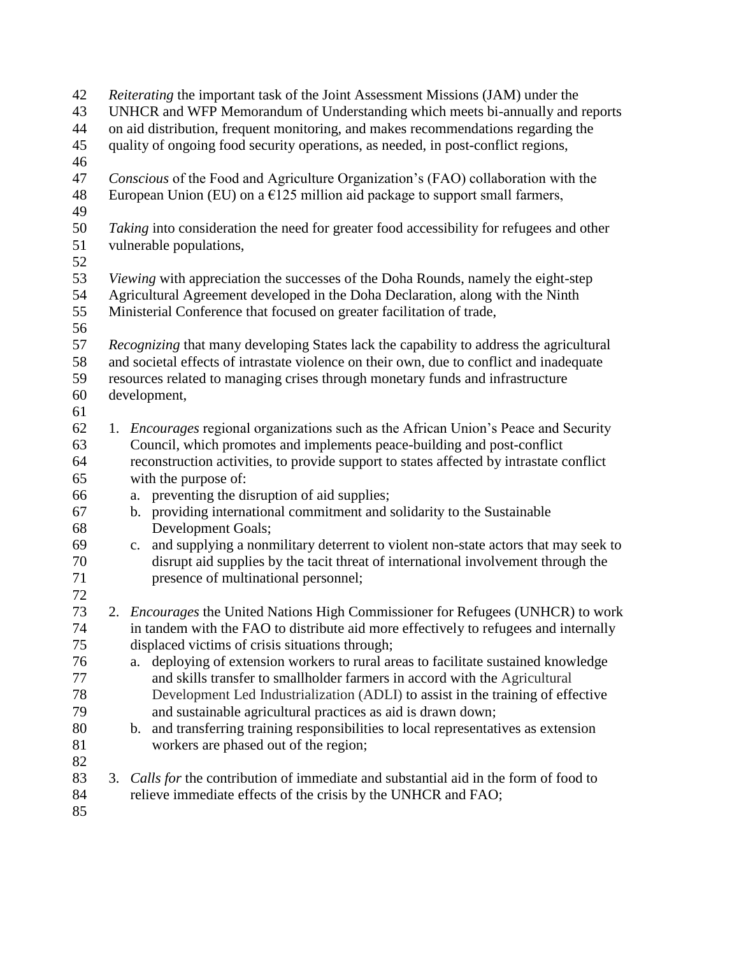| 42<br>43<br>44<br>45<br>46 |    | Reiterating the important task of the Joint Assessment Missions (JAM) under the<br>UNHCR and WFP Memorandum of Understanding which meets bi-annually and reports<br>on aid distribution, frequent monitoring, and makes recommendations regarding the<br>quality of ongoing food security operations, as needed, in post-conflict regions, |  |  |
|----------------------------|----|--------------------------------------------------------------------------------------------------------------------------------------------------------------------------------------------------------------------------------------------------------------------------------------------------------------------------------------------|--|--|
| 47<br>48<br>49             |    | Conscious of the Food and Agriculture Organization's (FAO) collaboration with the<br>European Union (EU) on a $E125$ million aid package to support small farmers,                                                                                                                                                                         |  |  |
| 50<br>51<br>52             |    | Taking into consideration the need for greater food accessibility for refugees and other<br>vulnerable populations,                                                                                                                                                                                                                        |  |  |
| 53                         |    | <i>Viewing</i> with appreciation the successes of the Doha Rounds, namely the eight-step                                                                                                                                                                                                                                                   |  |  |
| 54<br>55                   |    | Agricultural Agreement developed in the Doha Declaration, along with the Ninth<br>Ministerial Conference that focused on greater facilitation of trade,                                                                                                                                                                                    |  |  |
| 56                         |    |                                                                                                                                                                                                                                                                                                                                            |  |  |
| 57<br>58                   |    | Recognizing that many developing States lack the capability to address the agricultural<br>and societal effects of intrastate violence on their own, due to conflict and inadequate                                                                                                                                                        |  |  |
| 59                         |    | resources related to managing crises through monetary funds and infrastructure                                                                                                                                                                                                                                                             |  |  |
| 60                         |    | development,                                                                                                                                                                                                                                                                                                                               |  |  |
| 61                         |    |                                                                                                                                                                                                                                                                                                                                            |  |  |
| 62<br>63                   |    | 1. Encourages regional organizations such as the African Union's Peace and Security<br>Council, which promotes and implements peace-building and post-conflict                                                                                                                                                                             |  |  |
| 64<br>65                   |    | reconstruction activities, to provide support to states affected by intrastate conflict<br>with the purpose of:                                                                                                                                                                                                                            |  |  |
| 66                         |    | preventing the disruption of aid supplies;<br>a.                                                                                                                                                                                                                                                                                           |  |  |
| 67<br>68                   |    | providing international commitment and solidarity to the Sustainable<br>$\mathbf{b}$ .<br>Development Goals;                                                                                                                                                                                                                               |  |  |
| 69<br>70<br>71             |    | c. and supplying a nonmilitary deterrent to violent non-state actors that may seek to<br>disrupt aid supplies by the tacit threat of international involvement through the<br>presence of multinational personnel;                                                                                                                         |  |  |
| 72                         |    |                                                                                                                                                                                                                                                                                                                                            |  |  |
| 73<br>74                   |    | 2. <i>Encourages</i> the United Nations High Commissioner for Refugees (UNHCR) to work<br>in tandem with the FAO to distribute aid more effectively to refugees and internally                                                                                                                                                             |  |  |
| 75                         |    | displaced victims of crisis situations through;                                                                                                                                                                                                                                                                                            |  |  |
| 76                         |    | deploying of extension workers to rural areas to facilitate sustained knowledge<br>a.                                                                                                                                                                                                                                                      |  |  |
| 77                         |    | and skills transfer to smallholder farmers in accord with the Agricultural                                                                                                                                                                                                                                                                 |  |  |
| 78                         |    | Development Led Industrialization (ADLI) to assist in the training of effective                                                                                                                                                                                                                                                            |  |  |
| 79                         |    | and sustainable agricultural practices as aid is drawn down;                                                                                                                                                                                                                                                                               |  |  |
| 80                         |    | b. and transferring training responsibilities to local representatives as extension                                                                                                                                                                                                                                                        |  |  |
| 81                         |    | workers are phased out of the region;                                                                                                                                                                                                                                                                                                      |  |  |
| 82                         |    |                                                                                                                                                                                                                                                                                                                                            |  |  |
| 83<br>84<br>85             | 3. | Calls for the contribution of immediate and substantial aid in the form of food to<br>relieve immediate effects of the crisis by the UNHCR and FAO;                                                                                                                                                                                        |  |  |